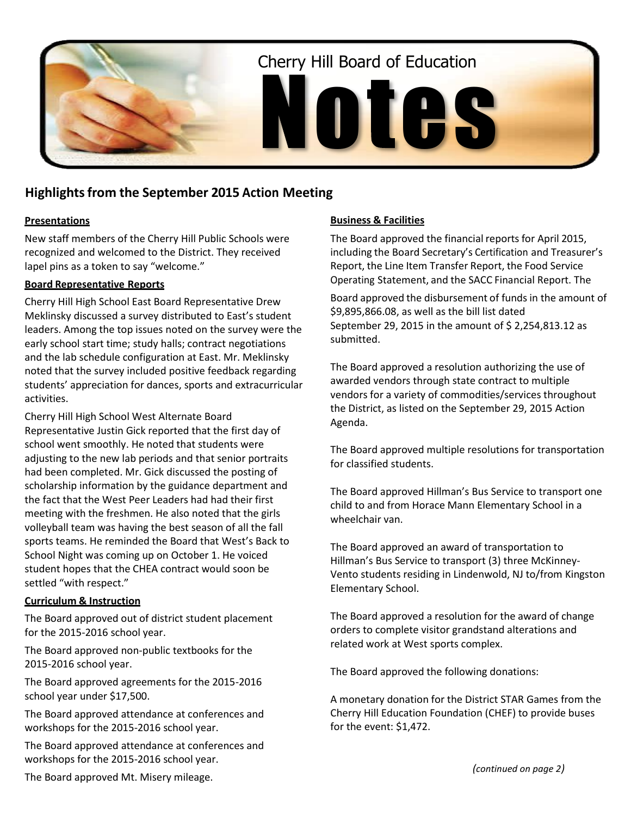

# **Highlightsfrom the September 2015 Action Meeting**

## **Presentations**

New staff members of the Cherry Hill Public Schools were recognized and welcomed to the District. They received lapel pins as a token to say "welcome."

#### **Board Representative Reports**

Cherry Hill High School East Board Representative Drew Meklinsky discussed a survey distributed to East's student leaders. Among the top issues noted on the survey were the early school start time; study halls; contract negotiations and the lab schedule configuration at East. Mr. Meklinsky noted that the survey included positive feedback regarding students' appreciation for dances, sports and extracurricular activities.

Cherry Hill High School West Alternate Board Representative Justin Gick reported that the first day of school went smoothly. He noted that students were adjusting to the new lab periods and that senior portraits had been completed. Mr. Gick discussed the posting of scholarship information by the guidance department and the fact that the West Peer Leaders had had their first meeting with the freshmen. He also noted that the girls volleyball team was having the best season of all the fall sports teams. He reminded the Board that West's Back to School Night was coming up on October 1. He voiced student hopes that the CHEA contract would soon be settled "with respect."

#### **Curriculum & Instruction**

The Board approved out of district student placement for the 2015-2016 school year.

The Board approved non-public textbooks for the 2015-2016 school year.

The Board approved agreements for the 2015-2016 school year under \$17,500.

The Board approved attendance at conferences and workshops for the 2015-2016 school year.

The Board approved attendance at conferences and workshops for the 2015-2016 school year.

#### **Business & Facilities**

The Board approved the financial reports for April 2015, including the Board Secretary's Certification and Treasurer's Report, the Line Item Transfer Report, the Food Service Operating Statement, and the SACC Financial Report. The

Board approved the disbursement of funds in the amount of \$9,895,866.08, as well as the bill list dated September 29, 2015 in the amount of \$ 2,254,813.12 as submitted.

The Board approved a resolution authorizing the use of awarded vendors through state contract to multiple vendors for a variety of commodities/services throughout the District, as listed on the September 29, 2015 Action Agenda.

The Board approved multiple resolutions for transportation for classified students.

The Board approved Hillman's Bus Service to transport one child to and from Horace Mann Elementary School in a wheelchair van.

The Board approved an award of transportation to Hillman's Bus Service to transport (3) three McKinney-Vento students residing in Lindenwold, NJ to/from Kingston Elementary School.

The Board approved a resolution for the award of change orders to complete visitor grandstand alterations and related work at West sports complex.

The Board approved the following donations:

A monetary donation for the District STAR Games from the Cherry Hill Education Foundation (CHEF) to provide buses for the event: \$1,472.